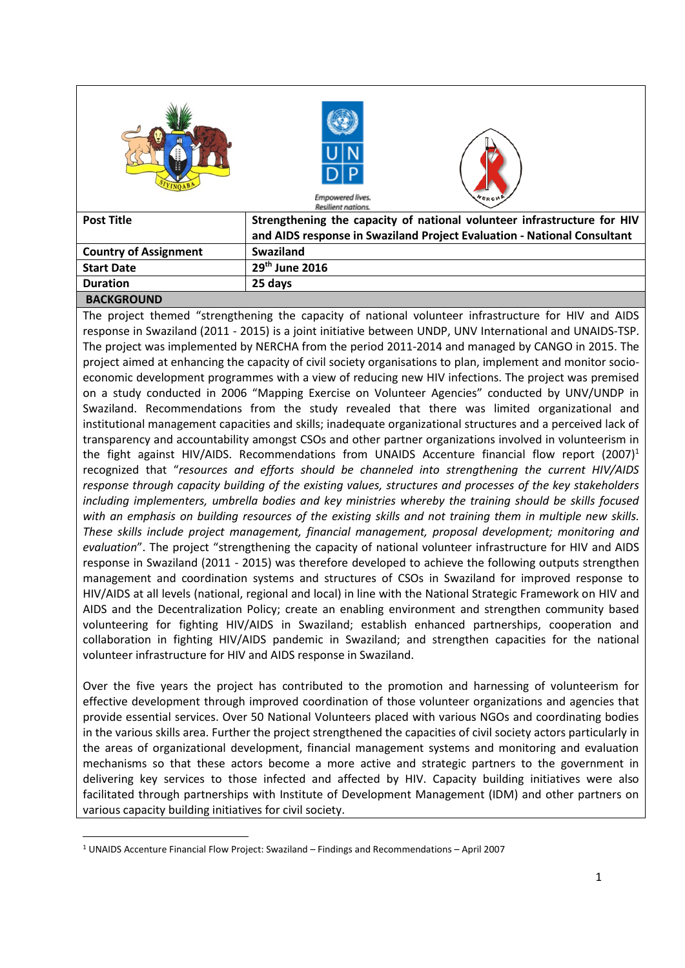|                              | Empowered lives.<br><b>NERCH</b><br>Resilient nations.                  |
|------------------------------|-------------------------------------------------------------------------|
| <b>Post Title</b>            | Strengthening the capacity of national volunteer infrastructure for HIV |
|                              | and AIDS response in Swaziland Project Evaluation - National Consultant |
| <b>Country of Assignment</b> | <b>Swaziland</b>                                                        |
| <b>Start Date</b>            | $29th$ June 2016                                                        |
| <b>Duration</b>              | 25 days                                                                 |

#### **BACKGROUND**

**.** 

The project themed "strengthening the capacity of national volunteer infrastructure for HIV and AIDS response in Swaziland (2011 - 2015) is a joint initiative between UNDP, UNV International and UNAIDS-TSP. The project was implemented by NERCHA from the period 2011-2014 and managed by CANGO in 2015. The project aimed at enhancing the capacity of civil society organisations to plan, implement and monitor socioeconomic development programmes with a view of reducing new HIV infections. The project was premised on a study conducted in 2006 "Mapping Exercise on Volunteer Agencies" conducted by UNV/UNDP in Swaziland. Recommendations from the study revealed that there was limited organizational and institutional management capacities and skills; inadequate organizational structures and a perceived lack of transparency and accountability amongst CSOs and other partner organizations involved in volunteerism in the fight against HIV/AIDS. Recommendations from UNAIDS Accenture financial flow report  $(2007)^1$ recognized that "*resources and efforts should be channeled into strengthening the current HIV/AIDS response through capacity building of the existing values, structures and processes of the key stakeholders including implementers, umbrella bodies and key ministries whereby the training should be skills focused with an emphasis on building resources of the existing skills and not training them in multiple new skills. These skills include project management, financial management, proposal development; monitoring and evaluation*". The project "strengthening the capacity of national volunteer infrastructure for HIV and AIDS response in Swaziland (2011 - 2015) was therefore developed to achieve the following outputs strengthen management and coordination systems and structures of CSOs in Swaziland for improved response to HIV/AIDS at all levels (national, regional and local) in line with the National Strategic Framework on HIV and AIDS and the Decentralization Policy; create an enabling environment and strengthen community based volunteering for fighting HIV/AIDS in Swaziland; establish enhanced partnerships, cooperation and collaboration in fighting HIV/AIDS pandemic in Swaziland; and strengthen capacities for the national volunteer infrastructure for HIV and AIDS response in Swaziland.

Over the five years the project has contributed to the promotion and harnessing of volunteerism for effective development through improved coordination of those volunteer organizations and agencies that provide essential services. Over 50 National Volunteers placed with various NGOs and coordinating bodies in the various skills area. Further the project strengthened the capacities of civil society actors particularly in the areas of organizational development, financial management systems and monitoring and evaluation mechanisms so that these actors become a more active and strategic partners to the government in delivering key services to those infected and affected by HIV. Capacity building initiatives were also facilitated through partnerships with Institute of Development Management (IDM) and other partners on various capacity building initiatives for civil society.

<sup>1</sup> UNAIDS Accenture Financial Flow Project: Swaziland – Findings and Recommendations – April 2007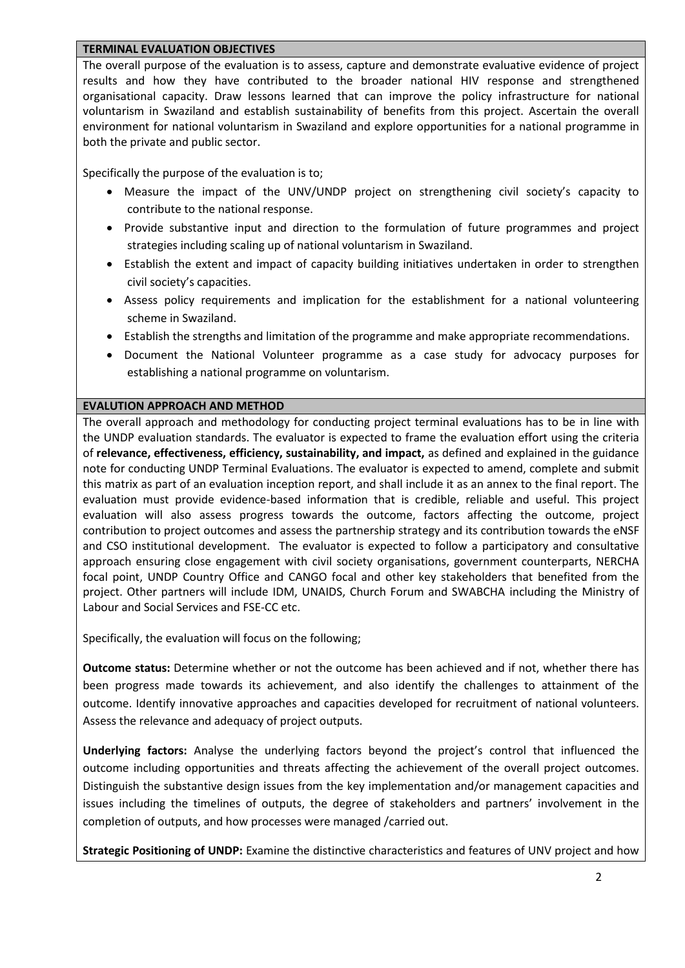#### **TERMINAL EVALUATION OBJECTIVES**

The overall purpose of the evaluation is to assess, capture and demonstrate evaluative evidence of project results and how they have contributed to the broader national HIV response and strengthened organisational capacity. Draw lessons learned that can improve the policy infrastructure for national voluntarism in Swaziland and establish sustainability of benefits from this project. Ascertain the overall environment for national voluntarism in Swaziland and explore opportunities for a national programme in both the private and public sector.

Specifically the purpose of the evaluation is to;

- Measure the impact of the UNV/UNDP project on strengthening civil society's capacity to contribute to the national response.
- Provide substantive input and direction to the formulation of future programmes and project strategies including scaling up of national voluntarism in Swaziland.
- Establish the extent and impact of capacity building initiatives undertaken in order to strengthen civil society's capacities.
- Assess policy requirements and implication for the establishment for a national volunteering scheme in Swaziland.
- Establish the strengths and limitation of the programme and make appropriate recommendations.
- Document the National Volunteer programme as a case study for advocacy purposes for establishing a national programme on voluntarism.

## **EVALUTION APPROACH AND METHOD**

The overall approach and methodology for conducting project terminal evaluations has to be in line with the UNDP evaluation standards. The evaluator is expected to frame the evaluation effort using the criteria of **relevance, effectiveness, efficiency, sustainability, and impact,** as defined and explained in the guidance note for conducting UNDP Terminal Evaluations. The evaluator is expected to amend, complete and submit this matrix as part of an evaluation inception report, and shall include it as an annex to the final report. The evaluation must provide evidence‐based information that is credible, reliable and useful. This project evaluation will also assess progress towards the outcome, factors affecting the outcome, project contribution to project outcomes and assess the partnership strategy and its contribution towards the eNSF and CSO institutional development. The evaluator is expected to follow a participatory and consultative approach ensuring close engagement with civil society organisations, government counterparts, NERCHA focal point, UNDP Country Office and CANGO focal and other key stakeholders that benefited from the project. Other partners will include IDM, UNAIDS, Church Forum and SWABCHA including the Ministry of Labour and Social Services and FSE-CC etc.

Specifically, the evaluation will focus on the following;

**Outcome status:** Determine whether or not the outcome has been achieved and if not, whether there has been progress made towards its achievement, and also identify the challenges to attainment of the outcome. Identify innovative approaches and capacities developed for recruitment of national volunteers. Assess the relevance and adequacy of project outputs.

**Underlying factors:** Analyse the underlying factors beyond the project's control that influenced the outcome including opportunities and threats affecting the achievement of the overall project outcomes. Distinguish the substantive design issues from the key implementation and/or management capacities and issues including the timelines of outputs, the degree of stakeholders and partners' involvement in the completion of outputs, and how processes were managed /carried out.

**Strategic Positioning of UNDP:** Examine the distinctive characteristics and features of UNV project and how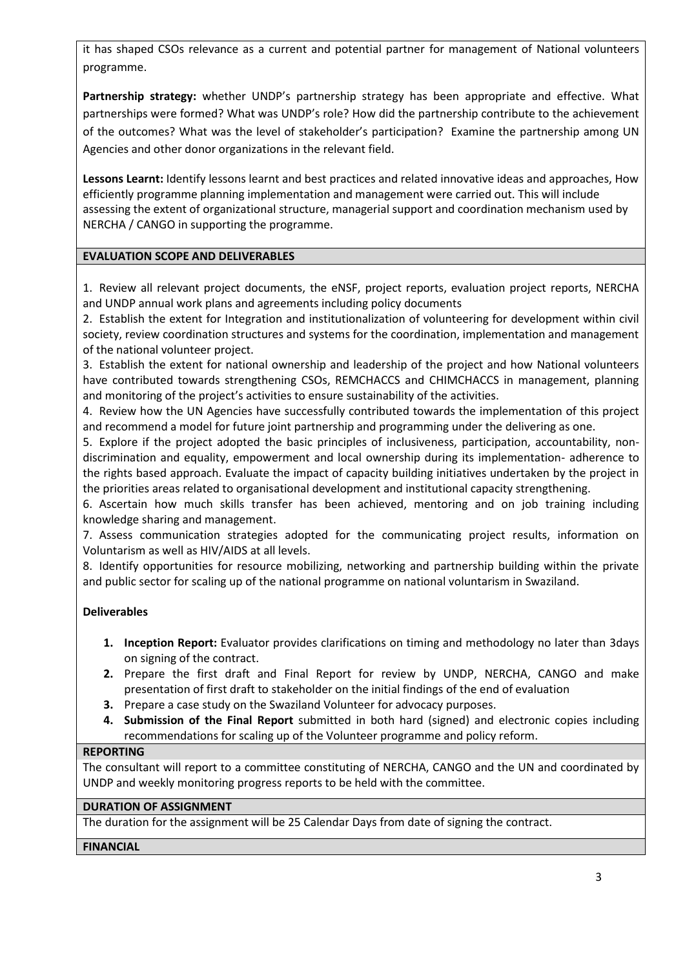it has shaped CSOs relevance as a current and potential partner for management of National volunteers programme.

**Partnership strategy:** whether UNDP's partnership strategy has been appropriate and effective. What partnerships were formed? What was UNDP's role? How did the partnership contribute to the achievement of the outcomes? What was the level of stakeholder's participation? Examine the partnership among UN Agencies and other donor organizations in the relevant field.

**Lessons Learnt:** Identify lessons learnt and best practices and related innovative ideas and approaches, How efficiently programme planning implementation and management were carried out. This will include assessing the extent of organizational structure, managerial support and coordination mechanism used by NERCHA / CANGO in supporting the programme.

# **EVALUATION SCOPE AND DELIVERABLES**

1. Review all relevant project documents, the eNSF, project reports, evaluation project reports, NERCHA and UNDP annual work plans and agreements including policy documents

2. Establish the extent for Integration and institutionalization of volunteering for development within civil society, review coordination structures and systems for the coordination, implementation and management of the national volunteer project.

3. Establish the extent for national ownership and leadership of the project and how National volunteers have contributed towards strengthening CSOs, REMCHACCS and CHIMCHACCS in management, planning and monitoring of the project's activities to ensure sustainability of the activities.

4. Review how the UN Agencies have successfully contributed towards the implementation of this project and recommend a model for future joint partnership and programming under the delivering as one.

5. Explore if the project adopted the basic principles of inclusiveness, participation, accountability, nondiscrimination and equality, empowerment and local ownership during its implementation- adherence to the rights based approach. Evaluate the impact of capacity building initiatives undertaken by the project in the priorities areas related to organisational development and institutional capacity strengthening.

6. Ascertain how much skills transfer has been achieved, mentoring and on job training including knowledge sharing and management.

7. Assess communication strategies adopted for the communicating project results, information on Voluntarism as well as HIV/AIDS at all levels.

8. Identify opportunities for resource mobilizing, networking and partnership building within the private and public sector for scaling up of the national programme on national voluntarism in Swaziland.

## **Deliverables**

- **1. Inception Report:** Evaluator provides clarifications on timing and methodology no later than 3days on signing of the contract.
- **2.** Prepare the first draft and Final Report for review by UNDP, NERCHA, CANGO and make presentation of first draft to stakeholder on the initial findings of the end of evaluation
- **3.** Prepare a case study on the Swaziland Volunteer for advocacy purposes.
- **4. Submission of the Final Report** submitted in both hard (signed) and electronic copies including recommendations for scaling up of the Volunteer programme and policy reform.

## **REPORTING**

The consultant will report to a committee constituting of NERCHA, CANGO and the UN and coordinated by UNDP and weekly monitoring progress reports to be held with the committee.

## **DURATION OF ASSIGNMENT**

The duration for the assignment will be 25 Calendar Days from date of signing the contract.

## **FINANCIAL**